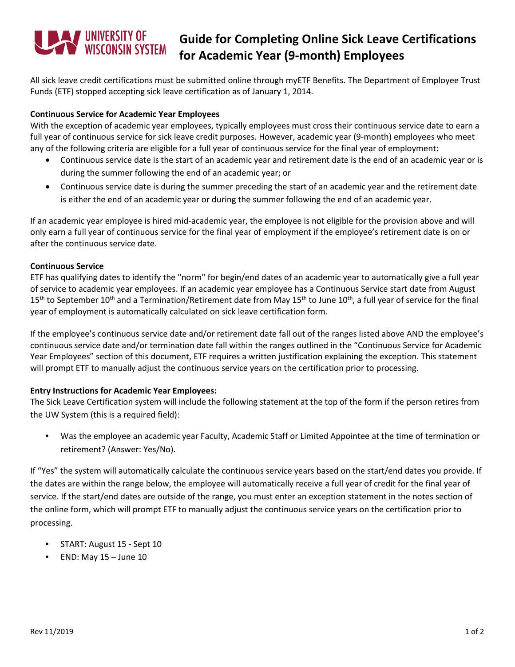# WINDERSITY OF WISCONSIN SYSTEM

## **Guide for Completing Online Sick Leave Certifications for Academic Year (9-month) Employees**

All sick leave credit certifications must be submitted online through myETF Benefits. The Department of Employee Trust Funds (ETF) stopped accepting sick leave certification as of January 1, 2014.

#### **Continuous Service for Academic Year Employees**

With the exception of academic year employees, typically employees must cross their continuous service date to earn a full year of continuous service for sick leave credit purposes. However, academic year (9-month) employees who meet any of the following criteria are eligible for a full year of continuous service for the final year of employment:

- Continuous service date is the start of an academic year and retirement date is the end of an academic year or is during the summer following the end of an academic year; or
- Continuous service date is during the summer preceding the start of an academic year and the retirement date is either the end of an academic year or during the summer following the end of an academic year.

If an academic year employee is hired mid-academic year, the employee is not eligible for the provision above and will only earn a full year of continuous service for the final year of employment if the employee's retirement date is on or after the continuous service date.

#### **Continuous Service**

ETF has qualifying dates to identify the "norm" for begin/end dates of an academic year to automatically give a full year of service to academic year employees. If an academic year employee has a Continuous Service start date from August 15<sup>th</sup> to September 10<sup>th</sup> and a Termination/Retirement date from May 15<sup>th</sup> to June 10<sup>th</sup>, a full year of service for the final year of employment is automatically calculated on sick leave certification form.

If the employee's continuous service date and/or retirement date fall out of the ranges listed above AND the employee's continuous service date and/or termination date fall within the ranges outlined in the "Continuous Service for Academic Year Employees" section of this document, ETF requires a written justification explaining the exception. This statement will prompt ETF to manually adjust the continuous service years on the certification prior to processing.

### **Entry Instructions for Academic Year Employees:**

The Sick Leave Certification system will include the following statement at the top of the form if the person retires from the UW System (this is a required field):

• Was the employee an academic year Faculty, Academic Staff or Limited Appointee at the time of termination or retirement? (Answer: Yes/No).

If "Yes" the system will automatically calculate the continuous service years based on the start/end dates you provide. If the dates are within the range below, the employee will automatically receive a full year of credit for the final year of service. If the start/end dates are outside of the range, you must enter an exception statement in the notes section of the online form, which will prompt ETF to manually adjust the continuous service years on the certification prior to processing.

- START: August 15 Sept 10
- END: May  $15 -$  June  $10$